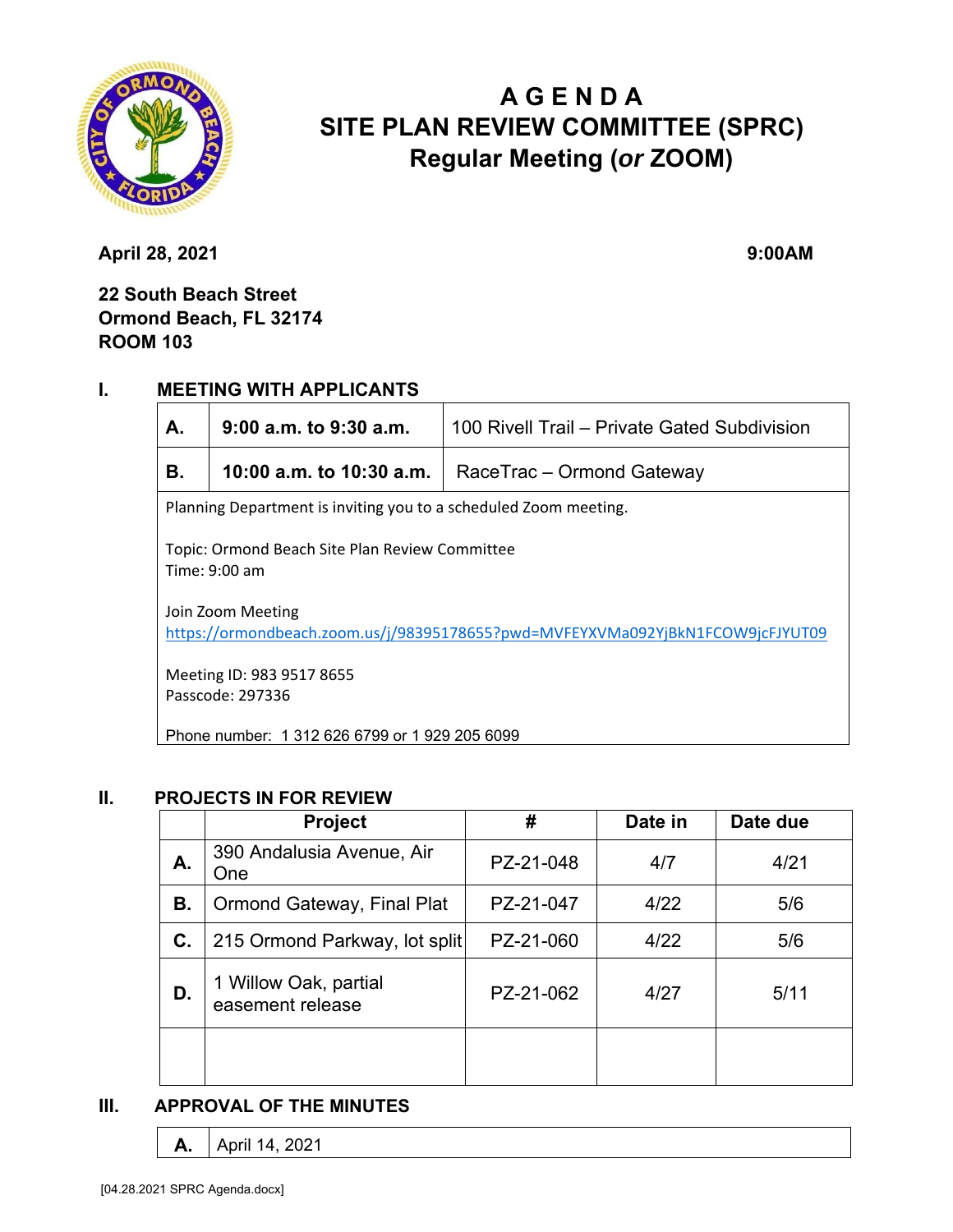

# **A G E N D A SITE PLAN REVIEW COMMITTEE (SPRC) Regular Meeting (***or* **ZOOM)**

**April 28, 2021** 9:00AM

**22 South Beach Street Ormond Beach, FL 32174 ROOM 103**

### **I. MEETING WITH APPLICANTS**

| А.                                                                                                  | $9:00$ a.m. to $9:30$ a.m. | 100 Rivell Trail - Private Gated Subdivision |  |  |  |
|-----------------------------------------------------------------------------------------------------|----------------------------|----------------------------------------------|--|--|--|
| В.                                                                                                  | 10:00 a.m. to 10:30 a.m.   | RaceTrac – Ormond Gateway                    |  |  |  |
| Planning Department is inviting you to a scheduled Zoom meeting.                                    |                            |                                              |  |  |  |
| Topic: Ormond Beach Site Plan Review Committee<br>Time: 9:00 am                                     |                            |                                              |  |  |  |
| Join Zoom Meeting<br>https://ormondbeach.zoom.us/j/98395178655?pwd=MVFEYXVMa092YjBkN1FCOW9jcFJYUT09 |                            |                                              |  |  |  |
| Meeting ID: 983 9517 8655<br>Passcode: 297336                                                       |                            |                                              |  |  |  |
| Phone number: 1 312 626 6799 or 1 929 205 6099                                                      |                            |                                              |  |  |  |

#### **II. PROJECTS IN FOR REVIEW**

|    | <b>Project</b>                            | #         | Date in | Date due |
|----|-------------------------------------------|-----------|---------|----------|
| А. | 390 Andalusia Avenue, Air<br>One          | PZ-21-048 | 4/7     | 4/21     |
| В. | <b>Ormond Gateway, Final Plat</b>         | PZ-21-047 | 4/22    | 5/6      |
| C. | 215 Ormond Parkway, lot split             | PZ-21-060 | 4/22    | 5/6      |
| D. | 1 Willow Oak, partial<br>easement release | PZ-21-062 | 4/27    | 5/11     |
|    |                                           |           |         |          |

### **III. APPROVAL OF THE MINUTES**

```
A. April 14, 2021
```